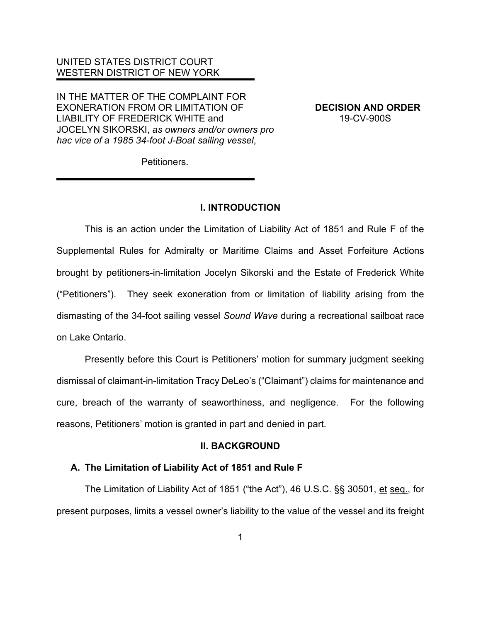# UNITED STATES DISTRICT COURT WESTERN DISTRICT OF NEW YORK

IN THE MATTER OF THE COMPLAINT FOR EXONERATION FROM OR LIMITATION OF **DECISION AND ORDER** LIABILITY OF FREDERICK WHITE and 19-CV-900S JOCELYN SIKORSKI, *as owners and/or owners pro hac vice of a 1985 34-foot J-Boat sailing vessel*,

**Petitioners** 

### **I. INTRODUCTION**

This is an action under the Limitation of Liability Act of 1851 and Rule F of the Supplemental Rules for Admiralty or Maritime Claims and Asset Forfeiture Actions brought by petitioners-in-limitation Jocelyn Sikorski and the Estate of Frederick White ("Petitioners"). They seek exoneration from or limitation of liability arising from the dismasting of the 34-foot sailing vessel *Sound Wave* during a recreational sailboat race on Lake Ontario.

Presently before this Court is Petitioners' motion for summary judgment seeking dismissal of claimant-in-limitation Tracy DeLeo's ("Claimant") claims for maintenance and cure, breach of the warranty of seaworthiness, and negligence. For the following reasons, Petitioners' motion is granted in part and denied in part.

## **II. BACKGROUND**

## **A. The Limitation of Liability Act of 1851 and Rule F**

The Limitation of Liability Act of 1851 ("the Act"), 46 U.S.C. §§ 30501, et seq., for present purposes, limits a vessel owner's liability to the value of the vessel and its freight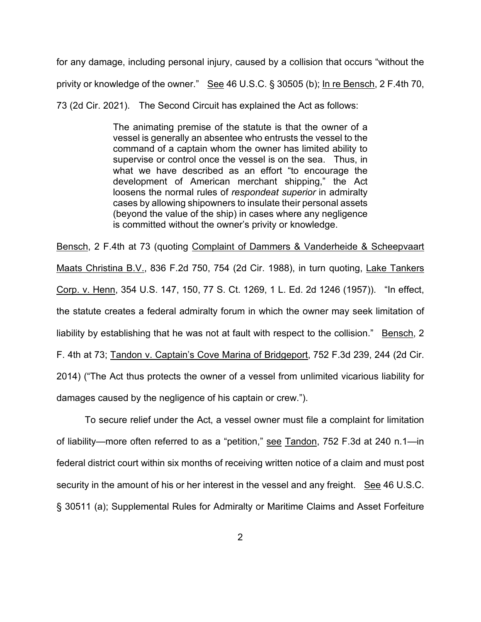for any damage, including personal injury, caused by a collision that occurs "without the privity or knowledge of the owner." See 46 U.S.C. § 30505 (b); In re Bensch, 2 F.4th 70, 73 (2d Cir. 2021).The Second Circuit has explained the Act as follows:

> The animating premise of the statute is that the owner of a vessel is generally an absentee who entrusts the vessel to the command of a captain whom the owner has limited ability to supervise or control once the vessel is on the sea. Thus, in what we have described as an effort "to encourage the development of American merchant shipping," the Act loosens the normal rules of *respondeat superior* in admiralty cases by allowing shipowners to insulate their personal assets (beyond the value of the ship) in cases where any negligence is committed without the owner's privity or knowledge.

Bensch, 2 F.4th at 73 (quoting Complaint of Dammers & Vanderheide & Scheepvaart Maats Christina B.V., 836 F.2d 750, 754 (2d Cir. 1988), in turn quoting, Lake Tankers Corp. v. Henn, 354 U.S. 147, 150, 77 S. Ct. 1269, 1 L. Ed. 2d 1246 (1957)). "In effect, the statute creates a federal admiralty forum in which the owner may seek limitation of liability by establishing that he was not at fault with respect to the collision." Bensch, 2 F. 4th at 73; Tandon v. Captain's Cove Marina of Bridgeport, 752 F.3d 239, 244 (2d Cir. 2014) ("The Act thus protects the owner of a vessel from unlimited vicarious liability for damages caused by the negligence of his captain or crew.").

To secure relief under the Act, a vessel owner must file a complaint for limitation of liability—more often referred to as a "petition," see Tandon, 752 F.3d at 240 n.1—in federal district court within six months of receiving written notice of a claim and must post security in the amount of his or her interest in the vessel and any freight. See 46 U.S.C. § 30511 (a); Supplemental Rules for Admiralty or Maritime Claims and Asset Forfeiture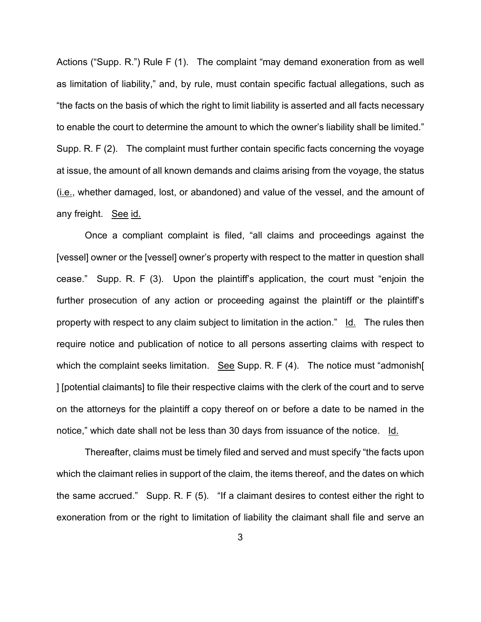Actions ("Supp. R.") Rule F (1). The complaint "may demand exoneration from as well as limitation of liability," and, by rule, must contain specific factual allegations, such as "the facts on the basis of which the right to limit liability is asserted and all facts necessary to enable the court to determine the amount to which the owner's liability shall be limited." Supp. R. F (2). The complaint must further contain specific facts concerning the voyage at issue, the amount of all known demands and claims arising from the voyage, the status (i.e., whether damaged, lost, or abandoned) and value of the vessel, and the amount of any freight. See id.

Once a compliant complaint is filed, "all claims and proceedings against the [vessel] owner or the [vessel] owner's property with respect to the matter in question shall cease." Supp. R. F (3). Upon the plaintiff's application, the court must "enjoin the further prosecution of any action or proceeding against the plaintiff or the plaintiff's property with respect to any claim subject to limitation in the action." Id. The rules then require notice and publication of notice to all persons asserting claims with respect to which the complaint seeks limitation. See Supp. R. F (4). The notice must "admonish[ ] [potential claimants] to file their respective claims with the clerk of the court and to serve on the attorneys for the plaintiff a copy thereof on or before a date to be named in the notice," which date shall not be less than 30 days from issuance of the notice. Id.

Thereafter, claims must be timely filed and served and must specify "the facts upon which the claimant relies in support of the claim, the items thereof, and the dates on which the same accrued." Supp. R. F (5). "If a claimant desires to contest either the right to exoneration from or the right to limitation of liability the claimant shall file and serve an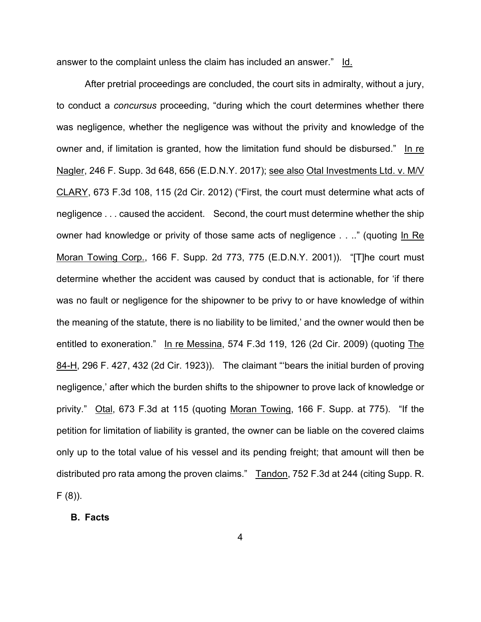answer to the complaint unless the claim has included an answer." Id.

After pretrial proceedings are concluded, the court sits in admiralty, without a jury, to conduct a *concursus* proceeding, "during which the court determines whether there was negligence, whether the negligence was without the privity and knowledge of the owner and, if limitation is granted, how the limitation fund should be disbursed." In re Nagler, 246 F. Supp. 3d 648, 656 (E.D.N.Y. 2017); see also Otal Investments Ltd. v. M/V CLARY, 673 F.3d 108, 115 (2d Cir. 2012) ("First, the court must determine what acts of negligence . . . caused the accident. Second, the court must determine whether the ship owner had knowledge or privity of those same acts of negligence . . .." (quoting In Re Moran Towing Corp., 166 F. Supp. 2d 773, 775 (E.D.N.Y. 2001)). "[T]he court must determine whether the accident was caused by conduct that is actionable, for 'if there was no fault or negligence for the shipowner to be privy to or have knowledge of within the meaning of the statute, there is no liability to be limited,' and the owner would then be entitled to exoneration." In re Messina, 574 F.3d 119, 126 (2d Cir. 2009) (quoting The 84-H, 296 F. 427, 432 (2d Cir. 1923)). The claimant "'bears the initial burden of proving negligence,' after which the burden shifts to the shipowner to prove lack of knowledge or privity." Otal, 673 F.3d at 115 (quoting Moran Towing, 166 F. Supp. at 775). "If the petition for limitation of liability is granted, the owner can be liable on the covered claims only up to the total value of his vessel and its pending freight; that amount will then be distributed pro rata among the proven claims." Tandon, 752 F.3d at 244 (citing Supp. R.  $F(8)$ ).

### **B. Facts**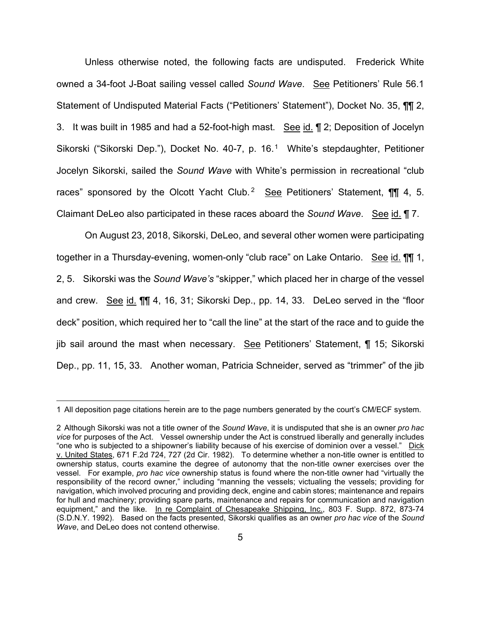Unless otherwise noted, the following facts are undisputed. Frederick White owned a 34-foot J-Boat sailing vessel called *Sound Wave*. See Petitioners' Rule 56.1 Statement of Undisputed Material Facts ("Petitioners' Statement"), Docket No. 35, ¶¶ 2, 3. It was built in 1985 and had a 52-foot-high mast. See id. ¶ 2; Deposition of Jocelyn Sikorski ("Sikorski Dep."), Docket No. 40-7, p. [1](#page-4-0)6.<sup>1</sup> White's stepdaughter, Petitioner Jocelyn Sikorski, sailed the *Sound Wave* with White's permission in recreational "club races" sponsored by the Olcott Yacht Club.<sup>[2](#page-4-1)</sup> See Petitioners' Statement,  $\P\P$  4, 5. Claimant DeLeo also participated in these races aboard the *Sound Wave*. See id. ¶ 7.

On August 23, 2018, Sikorski, DeLeo, and several other women were participating together in a Thursday-evening, women-only "club race" on Lake Ontario. See id. ¶¶ 1, 2, 5. Sikorski was the *Sound Wave's* "skipper," which placed her in charge of the vessel and crew. See id. **[1]** 4, 16, 31; Sikorski Dep., pp. 14, 33. DeLeo served in the "floor deck" position, which required her to "call the line" at the start of the race and to guide the jib sail around the mast when necessary. See Petitioners' Statement, ¶ 15; Sikorski Dep., pp. 11, 15, 33. Another woman, Patricia Schneider, served as "trimmer" of the jib

<span id="page-4-0"></span><sup>1</sup> All deposition page citations herein are to the page numbers generated by the court's CM/ECF system.

<span id="page-4-1"></span><sup>2</sup> Although Sikorski was not a title owner of the *Sound Wave*, it is undisputed that she is an owner *pro hac vice* for purposes of the Act. Vessel ownership under the Act is construed liberally and generally includes "one who is subjected to a shipowner's liability because of his exercise of dominion over a vessel." Dick v. United States, 671 F.2d 724, 727 (2d Cir. 1982). To determine whether a non-title owner is entitled to ownership status, courts examine the degree of autonomy that the non-title owner exercises over the vessel. For example, *pro hac vice* ownership status is found where the non-title owner had "virtually the responsibility of the record owner," including "manning the vessels; victualing the vessels; providing for navigation, which involved procuring and providing deck, engine and cabin stores; maintenance and repairs for hull and machinery; providing spare parts, maintenance and repairs for communication and navigation equipment," and the like. In re Complaint of Chesapeake Shipping, Inc., 803 F. Supp. 872, 873-74 (S.D.N.Y. 1992). Based on the facts presented, Sikorski qualifies as an owner *pro hac vice* of the *Sound Wave*, and DeLeo does not contend otherwise.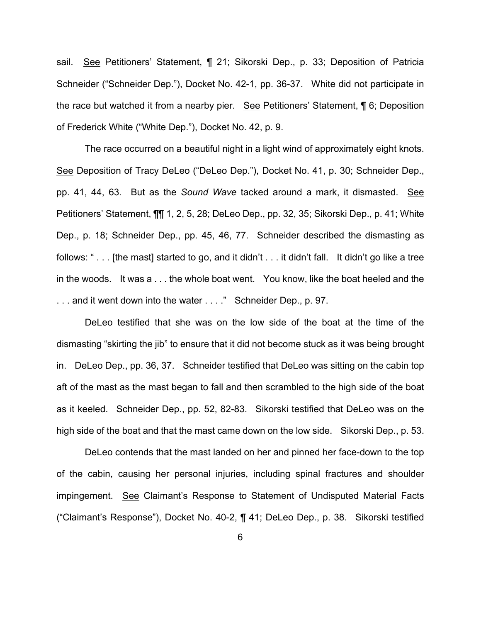sail. See Petitioners' Statement, 1 21; Sikorski Dep., p. 33; Deposition of Patricia Schneider ("Schneider Dep."), Docket No. 42-1, pp. 36-37. White did not participate in the race but watched it from a nearby pier. See Petitioners' Statement, ¶ 6; Deposition of Frederick White ("White Dep."), Docket No. 42, p. 9.

The race occurred on a beautiful night in a light wind of approximately eight knots. See Deposition of Tracy DeLeo ("DeLeo Dep."), Docket No. 41, p. 30; Schneider Dep., pp. 41, 44, 63. But as the *Sound Wave* tacked around a mark, it dismasted. See Petitioners' Statement, ¶¶ 1, 2, 5, 28; DeLeo Dep., pp. 32, 35; Sikorski Dep., p. 41; White Dep., p. 18; Schneider Dep., pp. 45, 46, 77. Schneider described the dismasting as follows: " . . . [the mast] started to go, and it didn't . . . it didn't fall. It didn't go like a tree in the woods. It was a . . . the whole boat went. You know, like the boat heeled and the . . . and it went down into the water . . . ." Schneider Dep., p. 97.

DeLeo testified that she was on the low side of the boat at the time of the dismasting "skirting the jib" to ensure that it did not become stuck as it was being brought in. DeLeo Dep., pp. 36, 37. Schneider testified that DeLeo was sitting on the cabin top aft of the mast as the mast began to fall and then scrambled to the high side of the boat as it keeled. Schneider Dep., pp. 52, 82-83. Sikorski testified that DeLeo was on the high side of the boat and that the mast came down on the low side. Sikorski Dep., p. 53.

DeLeo contends that the mast landed on her and pinned her face-down to the top of the cabin, causing her personal injuries, including spinal fractures and shoulder impingement. See Claimant's Response to Statement of Undisputed Material Facts ("Claimant's Response"), Docket No. 40-2, ¶ 41; DeLeo Dep., p. 38. Sikorski testified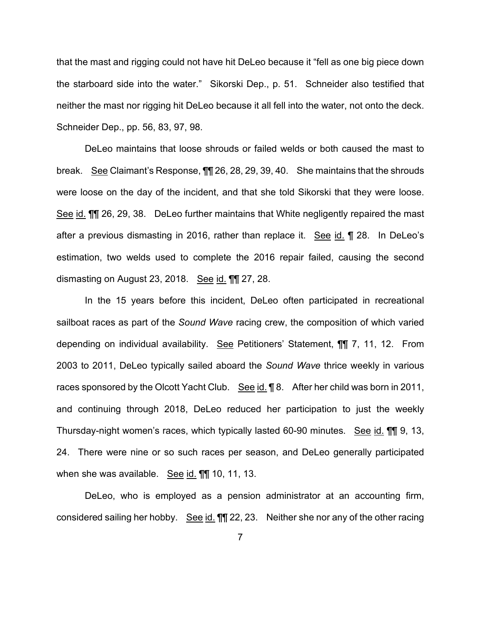that the mast and rigging could not have hit DeLeo because it "fell as one big piece down the starboard side into the water." Sikorski Dep., p. 51. Schneider also testified that neither the mast nor rigging hit DeLeo because it all fell into the water, not onto the deck. Schneider Dep., pp. 56, 83, 97, 98.

DeLeo maintains that loose shrouds or failed welds or both caused the mast to break. See Claimant's Response, ¶¶ 26, 28, 29, 39, 40. She maintains that the shrouds were loose on the day of the incident, and that she told Sikorski that they were loose. See id. ¶¶ 26, 29, 38. DeLeo further maintains that White negligently repaired the mast after a previous dismasting in 2016, rather than replace it. See id. ¶ 28. In DeLeo's estimation, two welds used to complete the 2016 repair failed, causing the second dismasting on August 23, 2018. See id.  $\P\P$  27, 28.

In the 15 years before this incident, DeLeo often participated in recreational sailboat races as part of the *Sound Wave* racing crew, the composition of which varied depending on individual availability. See Petitioners' Statement, **[1]** 7, 11, 12. From 2003 to 2011, DeLeo typically sailed aboard the *Sound Wave* thrice weekly in various races sponsored by the Olcott Yacht Club. See id.  $\P$ 8. After her child was born in 2011, and continuing through 2018, DeLeo reduced her participation to just the weekly Thursday-night women's races, which typically lasted 60-90 minutes. See id. ¶¶ 9, 13, 24. There were nine or so such races per season, and DeLeo generally participated when she was available. See id. **[1]** 10, 11, 13.

DeLeo, who is employed as a pension administrator at an accounting firm, considered sailing her hobby. See id. **[1]** 22, 23. Neither she nor any of the other racing

7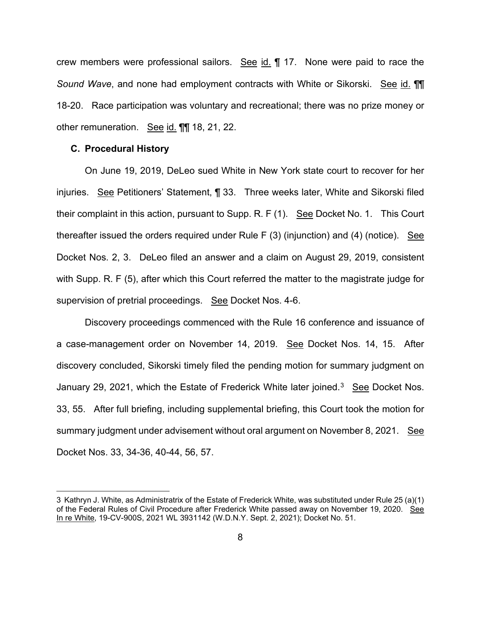crew members were professional sailors. See id. ¶ 17. None were paid to race the *Sound Wave*, and none had employment contracts with White or Sikorski. See id. ¶¶ 18-20. Race participation was voluntary and recreational; there was no prize money or other remuneration. See id. ¶¶ 18, 21, 22.

#### **C. Procedural History**

On June 19, 2019, DeLeo sued White in New York state court to recover for her injuries. See Petitioners' Statement, ¶ 33. Three weeks later, White and Sikorski filed their complaint in this action, pursuant to Supp. R. F (1). See Docket No. 1. This Court thereafter issued the orders required under Rule F (3) (injunction) and (4) (notice). See Docket Nos. 2, 3. DeLeo filed an answer and a claim on August 29, 2019, consistent with Supp. R. F (5), after which this Court referred the matter to the magistrate judge for supervision of pretrial proceedings. See Docket Nos. 4-6.

Discovery proceedings commenced with the Rule 16 conference and issuance of a case-management order on November 14, 2019. See Docket Nos. 14, 15. After discovery concluded, Sikorski timely filed the pending motion for summary judgment on January 29, 2021, which the Estate of Frederick White later joined.<sup>[3](#page-7-0)</sup> See Docket Nos. 33, 55. After full briefing, including supplemental briefing, this Court took the motion for summary judgment under advisement without oral argument on November 8, 2021. See Docket Nos. 33, 34-36, 40-44, 56, 57.

<span id="page-7-0"></span><sup>3</sup> Kathryn J. White, as Administratrix of the Estate of Frederick White, was substituted under Rule 25 (a)(1) of the Federal Rules of Civil Procedure after Frederick White passed away on November 19, 2020. See In re White, 19-CV-900S, 2021 WL 3931142 (W.D.N.Y. Sept. 2, 2021); Docket No. 51.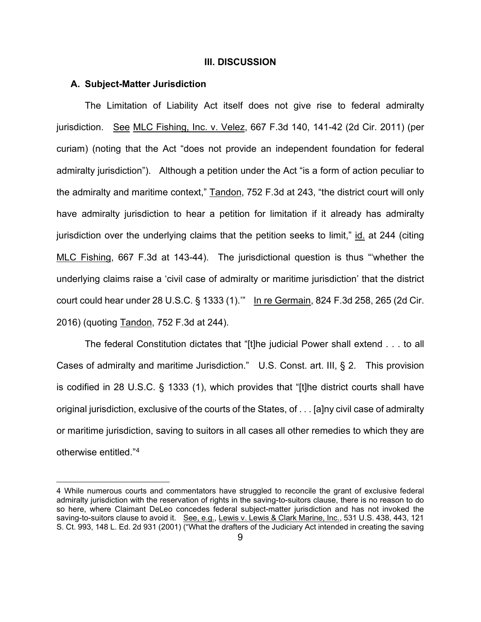#### **III. DISCUSSION**

## **A. Subject-Matter Jurisdiction**

The Limitation of Liability Act itself does not give rise to federal admiralty jurisdiction. See MLC Fishing, Inc. v. Velez, 667 F.3d 140, 141-42 (2d Cir. 2011) (per curiam) (noting that the Act "does not provide an independent foundation for federal admiralty jurisdiction"). Although a petition under the Act "is a form of action peculiar to the admiralty and maritime context," Tandon, 752 F.3d at 243, "the district court will only have admiralty jurisdiction to hear a petition for limitation if it already has admiralty jurisdiction over the underlying claims that the petition seeks to limit," id. at 244 (citing MLC Fishing, 667 F.3d at 143-44). The jurisdictional question is thus "'whether the underlying claims raise a 'civil case of admiralty or maritime jurisdiction' that the district court could hear under 28 U.S.C. § 1333 (1).'" In re Germain, 824 F.3d 258, 265 (2d Cir. 2016) (quoting Tandon, 752 F.3d at 244).

The federal Constitution dictates that "[t]he judicial Power shall extend . . . to all Cases of admiralty and maritime Jurisdiction." U.S. Const. art. III, § 2. This provision is codified in 28 U.S.C. § 1333 (1), which provides that "[t]he district courts shall have original jurisdiction, exclusive of the courts of the States, of . . . [a]ny civil case of admiralty or maritime jurisdiction, saving to suitors in all cases all other remedies to which they are otherwise entitled."[4](#page-8-0)

<span id="page-8-0"></span><sup>4</sup> While numerous courts and commentators have struggled to reconcile the grant of exclusive federal admiralty jurisdiction with the reservation of rights in the saving-to-suitors clause, there is no reason to do so here, where Claimant DeLeo concedes federal subject-matter jurisdiction and has not invoked the saving-to-suitors clause to avoid it. See, e.g., Lewis v. Lewis & Clark Marine, Inc., 531 U.S. 438, 443, 121 S. Ct. 993, 148 L. Ed. 2d 931 (2001) ("What the drafters of the Judiciary Act intended in creating the saving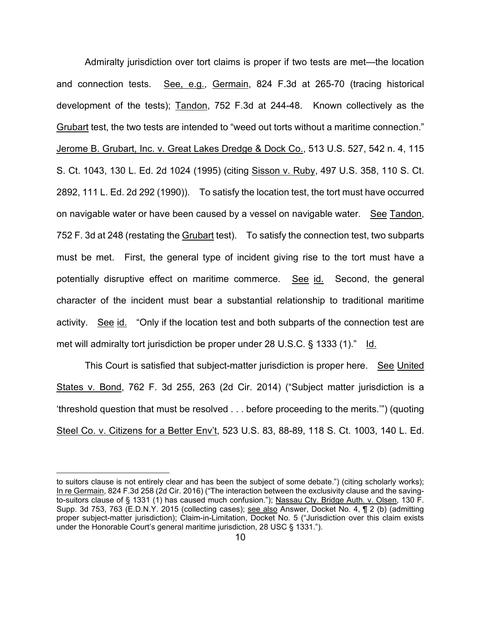Admiralty jurisdiction over tort claims is proper if two tests are met—the location and connection tests. See, e.g., Germain, 824 F.3d at 265-70 (tracing historical development of the tests); Tandon, 752 F.3d at 244-48. Known collectively as the Grubart test, the two tests are intended to "weed out torts without a maritime connection." Jerome B. Grubart, Inc. v. Great Lakes Dredge & Dock Co., 513 U.S. 527, 542 n. 4, 115 S. Ct. 1043, 130 L. Ed. 2d 1024 (1995) (citing Sisson v. Ruby, 497 U.S. 358, 110 S. Ct. 2892, 111 L. Ed. 2d 292 (1990)). To satisfy the location test, the tort must have occurred on navigable water or have been caused by a vessel on navigable water. See Tandon, 752 F. 3d at 248 (restating the Grubart test). To satisfy the connection test, two subparts must be met. First, the general type of incident giving rise to the tort must have a potentially disruptive effect on maritime commerce. See id. Second, the general character of the incident must bear a substantial relationship to traditional maritime activity. See id. "Only if the location test and both subparts of the connection test are met will admiralty tort jurisdiction be proper under 28 U.S.C. § 1333 (1)." Id.

This Court is satisfied that subject-matter jurisdiction is proper here. See United States v. Bond, 762 F. 3d 255, 263 (2d Cir. 2014) ("Subject matter jurisdiction is a 'threshold question that must be resolved . . . before proceeding to the merits.'") (quoting Steel Co. v. Citizens for a Better Env't, 523 U.S. 83, 88-89, 118 S. Ct. 1003, 140 L. Ed.

to suitors clause is not entirely clear and has been the subject of some debate.") (citing scholarly works); In re Germain, 824 F.3d 258 (2d Cir. 2016) ("The interaction between the exclusivity clause and the savingto-suitors clause of § 1331 (1) has caused much confusion."); Nassau Cty. Bridge Auth. v. Olsen, 130 F. Supp. 3d 753, 763 (E.D.N.Y. 2015 (collecting cases); see also Answer, Docket No. 4, ¶ 2 (b) (admitting proper subject-matter jurisdiction); Claim-in-Limitation, Docket No. 5 ("Jurisdiction over this claim exists under the Honorable Court's general maritime jurisdiction, 28 USC § 1331.").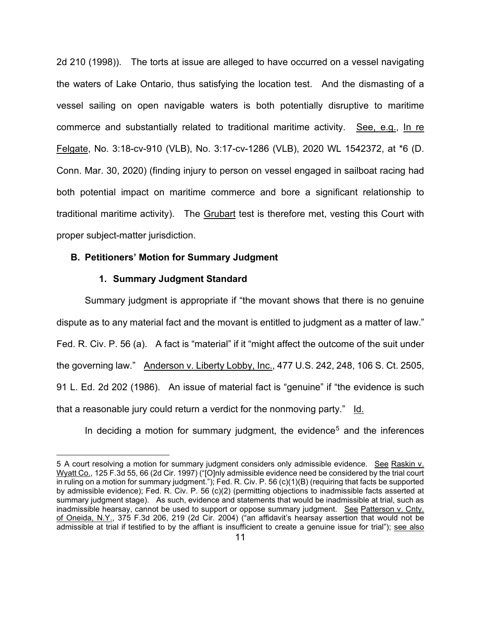2d 210 (1998)). The torts at issue are alleged to have occurred on a vessel navigating the waters of Lake Ontario, thus satisfying the location test. And the dismasting of a vessel sailing on open navigable waters is both potentially disruptive to maritime commerce and substantially related to traditional maritime activity. See, e.g., In re Felgate, No. 3:18-cv-910 (VLB), No. 3:17-cv-1286 (VLB), 2020 WL 1542372, at \*6 (D. Conn. Mar. 30, 2020) (finding injury to person on vessel engaged in sailboat racing had both potential impact on maritime commerce and bore a significant relationship to traditional maritime activity). The Grubart test is therefore met, vesting this Court with proper subject-matter jurisdiction.

### **B. Petitioners' Motion for Summary Judgment**

#### **1. Summary Judgment Standard**

Summary judgment is appropriate if "the movant shows that there is no genuine dispute as to any material fact and the movant is entitled to judgment as a matter of law." Fed. R. Civ. P. 56 (a). A fact is "material" if it "might affect the outcome of the suit under the governing law." Anderson v. Liberty Lobby, Inc., 477 U.S. 242, 248, 106 S. Ct. 2505, 91 L. Ed. 2d 202 (1986). An issue of material fact is "genuine" if "the evidence is such that a reasonable jury could return a verdict for the nonmoving party." Id.

In deciding a motion for summary judgment, the evidence<sup>[5](#page-10-0)</sup> and the inferences

<span id="page-10-0"></span><sup>5</sup> A court resolving a motion for summary judgment considers only admissible evidence. See Raskin v. Wyatt Co., 125 F.3d 55, 66 (2d Cir. 1997) ("[O]nly admissible evidence need be considered by the trial court in ruling on a motion for summary judgment."); Fed. R. Civ. P. 56 (c)(1)(B) (requiring that facts be supported by admissible evidence); Fed. R. Civ. P. 56 (c)(2) (permitting objections to inadmissible facts asserted at summary judgment stage). As such, evidence and statements that would be inadmissible at trial, such as inadmissible hearsay, cannot be used to support or oppose summary judgment. See Patterson v. Cnty. of Oneida, N.Y., 375 F.3d 206, 219 (2d Cir. 2004) ("an affidavit's hearsay assertion that would not be admissible at trial if testified to by the affiant is insufficient to create a genuine issue for trial"); see also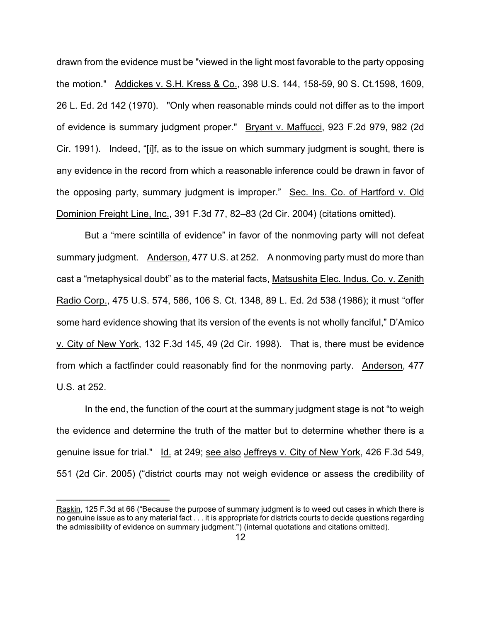drawn from the evidence must be "viewed in the light most favorable to the party opposing the motion." Addickes v. S.H. Kress & Co., 398 U.S. 144, 158-59, 90 S. Ct.1598, 1609, 26 L. Ed. 2d 142 (1970). "Only when reasonable minds could not differ as to the import of evidence is summary judgment proper." Bryant v. Maffucci, 923 F.2d 979, 982 (2d Cir. 1991). Indeed, "[i]f, as to the issue on which summary judgment is sought, there is any evidence in the record from which a reasonable inference could be drawn in favor of the opposing party, summary judgment is improper." Sec. Ins. Co. of Hartford v. Old Dominion Freight Line, Inc., 391 F.3d 77, 82–83 (2d Cir. 2004) (citations omitted).

But a "mere scintilla of evidence" in favor of the nonmoving party will not defeat summary judgment. Anderson, 477 U.S. at 252. A nonmoving party must do more than cast a "metaphysical doubt" as to the material facts, Matsushita Elec. Indus. Co. v. Zenith Radio Corp., 475 U.S. 574, 586, 106 S. Ct. 1348, 89 L. Ed. 2d 538 (1986); it must "offer some hard evidence showing that its version of the events is not wholly fanciful," D'Amico v. City of New York, 132 F.3d 145, 49 (2d Cir. 1998). That is, there must be evidence from which a factfinder could reasonably find for the nonmoving party. Anderson, 477 U.S. at 252.

In the end, the function of the court at the summary judgment stage is not "to weigh the evidence and determine the truth of the matter but to determine whether there is a genuine issue for trial." Id. at 249; see also Jeffreys v. City of New York, 426 F.3d 549, 551 (2d Cir. 2005) ("district courts may not weigh evidence or assess the credibility of

Raskin, 125 F.3d at 66 ("Because the purpose of summary judgment is to weed out cases in which there is no genuine issue as to any material fact . . . it is appropriate for districts courts to decide questions regarding the admissibility of evidence on summary judgment.") (internal quotations and citations omitted).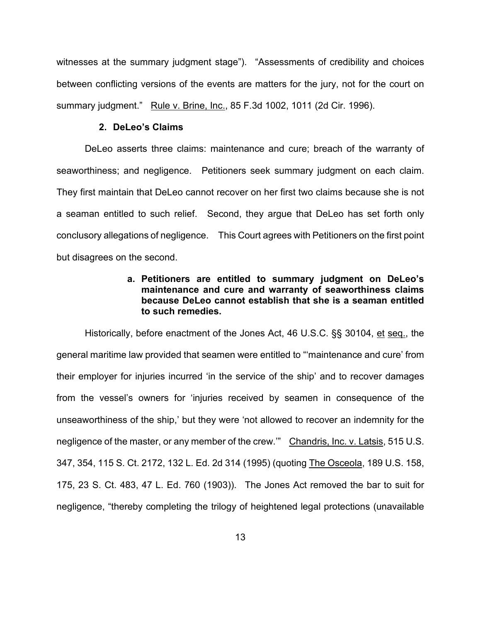witnesses at the summary judgment stage"). "Assessments of credibility and choices between conflicting versions of the events are matters for the jury, not for the court on summary judgment." Rule v. Brine, Inc., 85 F.3d 1002, 1011 (2d Cir. 1996).

# **2. DeLeo's Claims**

DeLeo asserts three claims: maintenance and cure; breach of the warranty of seaworthiness; and negligence. Petitioners seek summary judgment on each claim. They first maintain that DeLeo cannot recover on her first two claims because she is not a seaman entitled to such relief. Second, they argue that DeLeo has set forth only conclusory allegations of negligence. This Court agrees with Petitioners on the first point but disagrees on the second.

# **a. Petitioners are entitled to summary judgment on DeLeo's maintenance and cure and warranty of seaworthiness claims because DeLeo cannot establish that she is a seaman entitled to such remedies.**

Historically, before enactment of the Jones Act, 46 U.S.C. §§ 30104, et seq., the general maritime law provided that seamen were entitled to "'maintenance and cure' from their employer for injuries incurred 'in the service of the ship' and to recover damages from the vessel's owners for 'injuries received by seamen in consequence of the unseaworthiness of the ship,' but they were 'not allowed to recover an indemnity for the negligence of the master, or any member of the crew.'" Chandris, Inc. v. Latsis, 515 U.S. 347, 354, 115 S. Ct. 2172, 132 L. Ed. 2d 314 (1995) (quoting The Osceola, 189 U.S. 158, 175, 23 S. Ct. 483, 47 L. Ed. 760 (1903)). The Jones Act removed the bar to suit for negligence, "thereby completing the trilogy of heightened legal protections (unavailable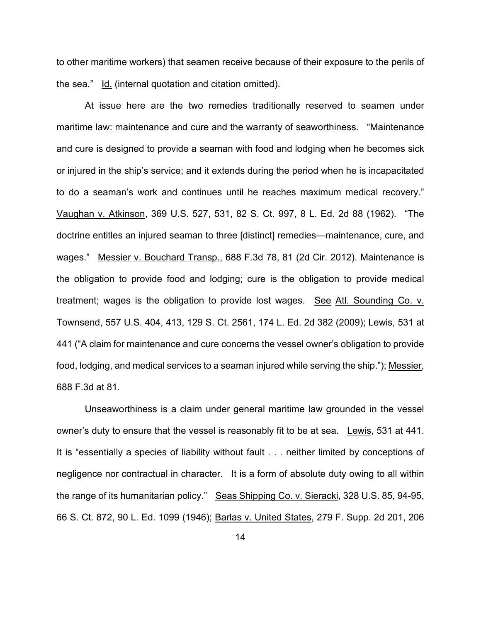to other maritime workers) that seamen receive because of their exposure to the perils of the sea." Id. (internal quotation and citation omitted).

At issue here are the two remedies traditionally reserved to seamen under maritime law: maintenance and cure and the warranty of seaworthiness. "Maintenance and cure is designed to provide a seaman with food and lodging when he becomes sick or injured in the ship's service; and it extends during the period when he is incapacitated to do a seaman's work and continues until he reaches maximum medical recovery." Vaughan v. Atkinson, 369 U.S. 527, 531, 82 S. Ct. 997, 8 L. Ed. 2d 88 (1962). "The doctrine entitles an injured seaman to three [distinct] remedies—maintenance, cure, and wages." Messier v. Bouchard Transp., 688 F.3d 78, 81 (2d Cir. 2012). Maintenance is the obligation to provide food and lodging; cure is the obligation to provide medical treatment; wages is the obligation to provide lost wages. See Atl. Sounding Co. v. Townsend, 557 U.S. 404, 413, 129 S. Ct. 2561, 174 L. Ed. 2d 382 (2009); Lewis, 531 at 441 ("A claim for maintenance and cure concerns the vessel owner's obligation to provide food, lodging, and medical services to a seaman injured while serving the ship."); Messier, 688 F.3d at 81.

Unseaworthiness is a claim under general maritime law grounded in the vessel owner's duty to ensure that the vessel is reasonably fit to be at sea. Lewis, 531 at 441. It is "essentially a species of liability without fault . . . neither limited by conceptions of negligence nor contractual in character. It is a form of absolute duty owing to all within the range of its humanitarian policy." Seas Shipping Co. v. Sieracki, 328 U.S. 85, 94-95, 66 S. Ct. 872, 90 L. Ed. 1099 (1946); Barlas v. United States, 279 F. Supp. 2d 201, 206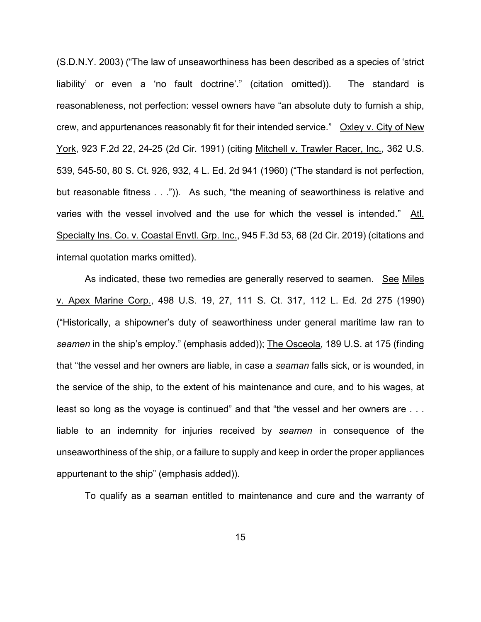(S.D.N.Y. 2003) ("The law of unseaworthiness has been described as a species of 'strict liability' or even a 'no fault doctrine'." (citation omitted)). The standard is reasonableness, not perfection: vessel owners have "an absolute duty to furnish a ship, crew, and appurtenances reasonably fit for their intended service." Oxley v. City of New York, 923 F.2d 22, 24-25 (2d Cir. 1991) (citing Mitchell v. Trawler Racer, Inc., 362 U.S. 539, 545-50, 80 S. Ct. 926, 932, 4 L. Ed. 2d 941 (1960) ("The standard is not perfection, but reasonable fitness . . .")). As such, "the meaning of seaworthiness is relative and varies with the vessel involved and the use for which the vessel is intended." Atl. Specialty Ins. Co. v. Coastal Envtl. Grp. Inc., 945 F.3d 53, 68 (2d Cir. 2019) (citations and internal quotation marks omitted).

As indicated, these two remedies are generally reserved to seamen. See Miles v. Apex Marine Corp., 498 U.S. 19, 27, 111 S. Ct. 317, 112 L. Ed. 2d 275 (1990) ("Historically, a shipowner's duty of seaworthiness under general maritime law ran to *seamen* in the ship's employ." (emphasis added)); The Osceola, 189 U.S. at 175 (finding that "the vessel and her owners are liable, in case a *seaman* falls sick, or is wounded, in the service of the ship, to the extent of his maintenance and cure, and to his wages, at least so long as the voyage is continued" and that "the vessel and her owners are ... liable to an indemnity for injuries received by *seamen* in consequence of the unseaworthiness of the ship, or a failure to supply and keep in order the proper appliances appurtenant to the ship" (emphasis added)).

To qualify as a seaman entitled to maintenance and cure and the warranty of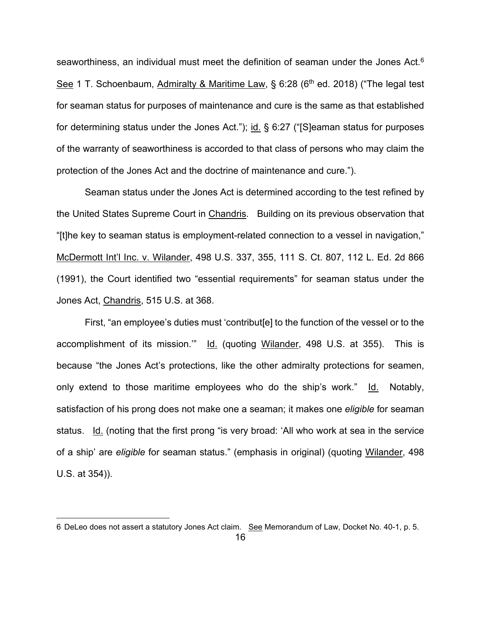seaworthiness, an individual must meet the definition of seaman under the Jones Act.<sup>[6](#page-15-0)</sup> See 1 T. Schoenbaum, Admiralty & Maritime Law,  $\S$  6:28 (6<sup>th</sup> ed. 2018) ("The legal test for seaman status for purposes of maintenance and cure is the same as that established for determining status under the Jones Act."); id. § 6:27 ("[S]eaman status for purposes of the warranty of seaworthiness is accorded to that class of persons who may claim the protection of the Jones Act and the doctrine of maintenance and cure.").

Seaman status under the Jones Act is determined according to the test refined by the United States Supreme Court in Chandris. Building on its previous observation that "[t]he key to seaman status is employment-related connection to a vessel in navigation," McDermott Int'l Inc. v. Wilander, 498 U.S. 337, 355, 111 S. Ct. 807, 112 L. Ed. 2d 866 (1991), the Court identified two "essential requirements" for seaman status under the Jones Act, Chandris, 515 U.S. at 368.

First, "an employee's duties must 'contribut[e] to the function of the vessel or to the accomplishment of its mission." Id. (quoting Wilander, 498 U.S. at 355). This is because "the Jones Act's protections, like the other admiralty protections for seamen, only extend to those maritime employees who do the ship's work." Id. Notably, satisfaction of his prong does not make one a seaman; it makes one *eligible* for seaman status. Id. (noting that the first prong "is very broad: 'All who work at sea in the service of a ship' are *eligible* for seaman status." (emphasis in original) (quoting Wilander, 498 U.S. at 354)).

<span id="page-15-0"></span><sup>6</sup> DeLeo does not assert a statutory Jones Act claim. See Memorandum of Law, Docket No. 40-1, p. 5.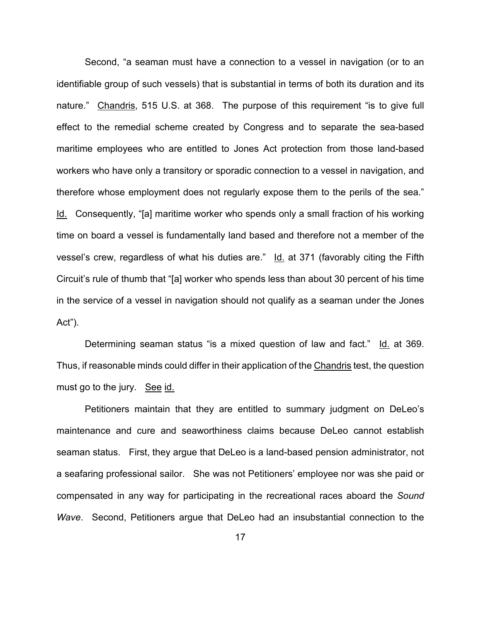Second, "a seaman must have a connection to a vessel in navigation (or to an identifiable group of such vessels) that is substantial in terms of both its duration and its nature." Chandris, 515 U.S. at 368. The purpose of this requirement "is to give full effect to the remedial scheme created by Congress and to separate the sea-based maritime employees who are entitled to Jones Act protection from those land-based workers who have only a transitory or sporadic connection to a vessel in navigation, and therefore whose employment does not regularly expose them to the perils of the sea." Id. Consequently, "[a] maritime worker who spends only a small fraction of his working time on board a vessel is fundamentally land based and therefore not a member of the vessel's crew, regardless of what his duties are." Id. at 371 (favorably citing the Fifth Circuit's rule of thumb that "[a] worker who spends less than about 30 percent of his time in the service of a vessel in navigation should not qualify as a seaman under the Jones Act").

Determining seaman status "is a mixed question of law and fact." Id. at 369. Thus, if reasonable minds could differ in their application of the Chandris test, the question must go to the jury. See id.

Petitioners maintain that they are entitled to summary judgment on DeLeo's maintenance and cure and seaworthiness claims because DeLeo cannot establish seaman status. First, they argue that DeLeo is a land-based pension administrator, not a seafaring professional sailor. She was not Petitioners' employee nor was she paid or compensated in any way for participating in the recreational races aboard the *Sound Wave*. Second, Petitioners argue that DeLeo had an insubstantial connection to the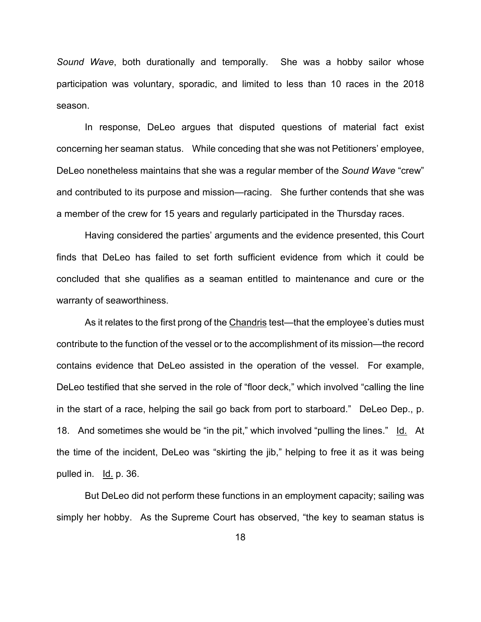*Sound Wave*, both durationally and temporally. She was a hobby sailor whose participation was voluntary, sporadic, and limited to less than 10 races in the 2018 season.

In response, DeLeo argues that disputed questions of material fact exist concerning her seaman status. While conceding that she was not Petitioners' employee, DeLeo nonetheless maintains that she was a regular member of the *Sound Wave* "crew" and contributed to its purpose and mission—racing. She further contends that she was a member of the crew for 15 years and regularly participated in the Thursday races.

Having considered the parties' arguments and the evidence presented, this Court finds that DeLeo has failed to set forth sufficient evidence from which it could be concluded that she qualifies as a seaman entitled to maintenance and cure or the warranty of seaworthiness.

As it relates to the first prong of the Chandris test—that the employee's duties must contribute to the function of the vessel or to the accomplishment of its mission—the record contains evidence that DeLeo assisted in the operation of the vessel. For example, DeLeo testified that she served in the role of "floor deck," which involved "calling the line in the start of a race, helping the sail go back from port to starboard." DeLeo Dep., p. 18. And sometimes she would be "in the pit," which involved "pulling the lines." Id. At the time of the incident, DeLeo was "skirting the jib," helping to free it as it was being pulled in. Id. p. 36.

But DeLeo did not perform these functions in an employment capacity; sailing was simply her hobby. As the Supreme Court has observed, "the key to seaman status is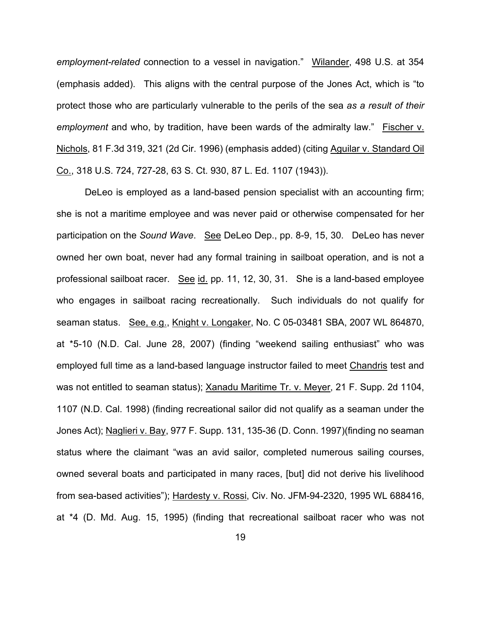*employment-related* connection to a vessel in navigation." Wilander, 498 U.S. at 354 (emphasis added). This aligns with the central purpose of the Jones Act, which is "to protect those who are particularly vulnerable to the perils of the sea *as a result of their employment* and who, by tradition, have been wards of the admiralty law." Fischer v. Nichols, 81 F.3d 319, 321 (2d Cir. 1996) (emphasis added) (citing Aguilar v. Standard Oil Co., 318 U.S. 724, 727-28, 63 S. Ct. 930, 87 L. Ed. 1107 (1943)).

DeLeo is employed as a land-based pension specialist with an accounting firm; she is not a maritime employee and was never paid or otherwise compensated for her participation on the *Sound Wave*. See DeLeo Dep., pp. 8-9, 15, 30. DeLeo has never owned her own boat, never had any formal training in sailboat operation, and is not a professional sailboat racer. See id. pp. 11, 12, 30, 31. She is a land-based employee who engages in sailboat racing recreationally. Such individuals do not qualify for seaman status. See, e.g., Knight v. Longaker, No. C 05-03481 SBA, 2007 WL 864870, at \*5-10 (N.D. Cal. June 28, 2007) (finding "weekend sailing enthusiast" who was employed full time as a land-based language instructor failed to meet Chandris test and was not entitled to seaman status); Xanadu Maritime Tr. v. Meyer, 21 F. Supp. 2d 1104, 1107 (N.D. Cal. 1998) (finding recreational sailor did not qualify as a seaman under the Jones Act); Naglieri v. Bay, 977 F. Supp. 131, 135-36 (D. Conn. 1997)(finding no seaman status where the claimant "was an avid sailor, completed numerous sailing courses, owned several boats and participated in many races, [but] did not derive his livelihood from sea-based activities"); Hardesty v. Rossi, Civ. No. JFM-94-2320, 1995 WL 688416, at \*4 (D. Md. Aug. 15, 1995) (finding that recreational sailboat racer who was not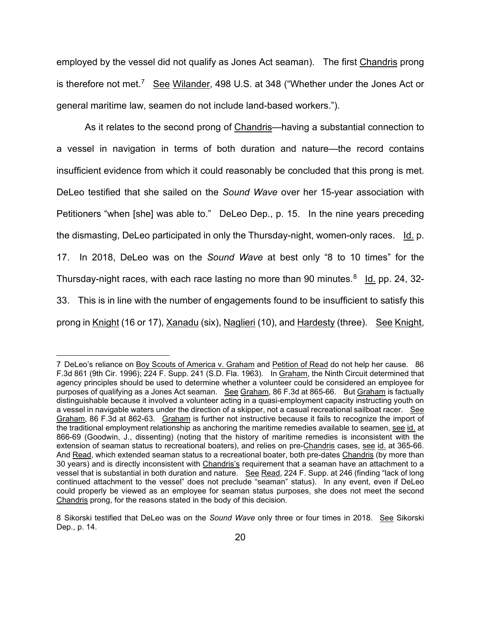employed by the vessel did not qualify as Jones Act seaman). The first Chandris prong is therefore not met.<sup>[7](#page-19-0)</sup> <u>See Wilander</u>, 498 U.S. at 348 ("Whether under the Jones Act or general maritime law, seamen do not include land-based workers.").

As it relates to the second prong of Chandris—having a substantial connection to a vessel in navigation in terms of both duration and nature—the record contains insufficient evidence from which it could reasonably be concluded that this prong is met. DeLeo testified that she sailed on the *Sound Wave* over her 15-year association with Petitioners "when [she] was able to." DeLeo Dep., p. 15. In the nine years preceding the dismasting, DeLeo participated in only the Thursday-night, women-only races. Id. p. 17. In 2018, DeLeo was on the *Sound Wave* at best only "8 to 10 times" for the Thursday-night races, with each race lasting no more than 90 minutes.<sup>[8](#page-19-1)</sup> ld. pp. 24, 32-33. This is in line with the number of engagements found to be insufficient to satisfy this prong in Knight (16 or 17), Xanadu (six), Naglieri (10), and Hardesty (three). See Knight,

<span id="page-19-0"></span><sup>7</sup> DeLeo's reliance on Boy Scouts of America v. Graham and Petition of Read do not help her cause. 86 F.3d 861 (9th Cir. 1996); 224 F. Supp. 241 (S.D. Fla. 1963). In Graham, the Ninth Circuit determined that agency principles should be used to determine whether a volunteer could be considered an employee for purposes of qualifying as a Jones Act seaman. See Graham, 86 F.3d at 865-66. But Graham is factually distinguishable because it involved a volunteer acting in a quasi-employment capacity instructing youth on a vessel in navigable waters under the direction of a skipper, not a casual recreational sailboat racer. See Graham, 86 F.3d at 862-63. Graham is further not instructive because it fails to recognize the import of the traditional employment relationship as anchoring the maritime remedies available to seamen, see id. at 866-69 (Goodwin, J., dissenting) (noting that the history of maritime remedies is inconsistent with the extension of seaman status to recreational boaters), and relies on pre-Chandris cases, see id. at 365-66. And Read, which extended seaman status to a recreational boater, both pre-dates Chandris (by more than 30 years) and is directly inconsistent with Chandris's requirement that a seaman have an attachment to a vessel that is substantial in both duration and nature. See Read, 224 F. Supp. at 246 (finding "lack of long continued attachment to the vessel" does not preclude "seaman" status). In any event, even if DeLeo could properly be viewed as an employee for seaman status purposes, she does not meet the second Chandris prong, for the reasons stated in the body of this decision.

<span id="page-19-1"></span><sup>8</sup> Sikorski testified that DeLeo was on the *Sound Wave* only three or four times in 2018. See Sikorski Dep., p. 14.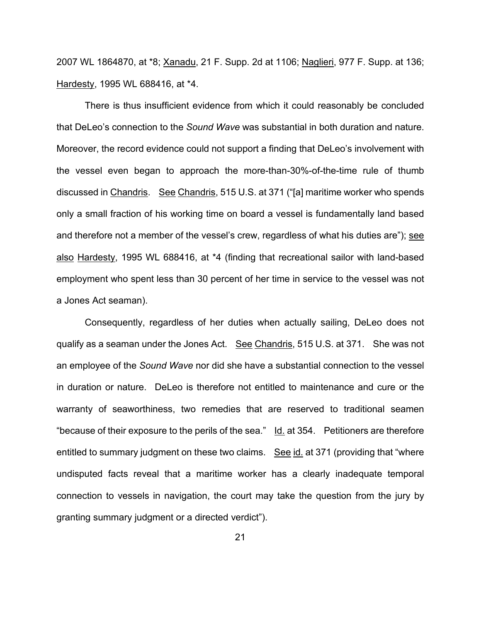2007 WL 1864870, at \*8; Xanadu, 21 F. Supp. 2d at 1106; Naglieri, 977 F. Supp. at 136; Hardesty, 1995 WL 688416, at \*4.

There is thus insufficient evidence from which it could reasonably be concluded that DeLeo's connection to the *Sound Wave* was substantial in both duration and nature. Moreover, the record evidence could not support a finding that DeLeo's involvement with the vessel even began to approach the more-than-30%-of-the-time rule of thumb discussed in Chandris. See Chandris, 515 U.S. at 371 ("[a] maritime worker who spends only a small fraction of his working time on board a vessel is fundamentally land based and therefore not a member of the vessel's crew, regardless of what his duties are"); see also Hardesty, 1995 WL 688416, at \*4 (finding that recreational sailor with land-based employment who spent less than 30 percent of her time in service to the vessel was not a Jones Act seaman).

Consequently, regardless of her duties when actually sailing, DeLeo does not qualify as a seaman under the Jones Act. See Chandris, 515 U.S. at 371. She was not an employee of the *Sound Wave* nor did she have a substantial connection to the vessel in duration or nature. DeLeo is therefore not entitled to maintenance and cure or the warranty of seaworthiness, two remedies that are reserved to traditional seamen "because of their exposure to the perils of the sea." Id. at 354. Petitioners are therefore entitled to summary judgment on these two claims. See id. at 371 (providing that "where undisputed facts reveal that a maritime worker has a clearly inadequate temporal connection to vessels in navigation, the court may take the question from the jury by granting summary judgment or a directed verdict").

21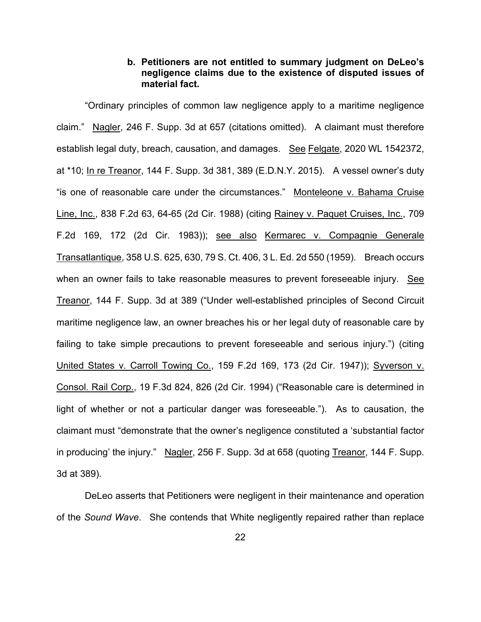# **b. Petitioners are not entitled to summary judgment on DeLeo's negligence claims due to the existence of disputed issues of material fact.**

"Ordinary principles of common law negligence apply to a maritime negligence claim." Nagler, 246 F. Supp. 3d at 657 (citations omitted). A claimant must therefore establish legal duty, breach, causation, and damages. See Felgate, 2020 WL 1542372, at \*10; In re Treanor, 144 F. Supp. 3d 381, 389 (E.D.N.Y. 2015). A vessel owner's duty "is one of reasonable care under the circumstances." Monteleone v. Bahama Cruise Line, Inc., 838 F.2d 63, 64-65 (2d Cir. 1988) (citing Rainey v. Paquet Cruises, Inc., 709 F.2d 169, 172 (2d Cir. 1983)); see also Kermarec v. Compagnie Generale Transatlantique, 358 U.S. 625, 630, 79 S. Ct. 406, 3 L. Ed. 2d 550 (1959). Breach occurs when an owner fails to take reasonable measures to prevent foreseeable injury. See Treanor, 144 F. Supp. 3d at 389 ("Under well-established principles of Second Circuit maritime negligence law, an owner breaches his or her legal duty of reasonable care by failing to take simple precautions to prevent foreseeable and serious injury.") (citing United States v. Carroll Towing Co., 159 F.2d 169, 173 (2d Cir. 1947)); Syverson v. Consol. Rail Corp., 19 F.3d 824, 826 (2d Cir. 1994) ("Reasonable care is determined in light of whether or not a particular danger was foreseeable."). As to causation, the claimant must "demonstrate that the owner's negligence constituted a 'substantial factor in producing' the injury." Nagler, 256 F. Supp. 3d at 658 (quoting Treanor, 144 F. Supp. 3d at 389).

DeLeo asserts that Petitioners were negligent in their maintenance and operation of the *Sound Wave*. She contends that White negligently repaired rather than replace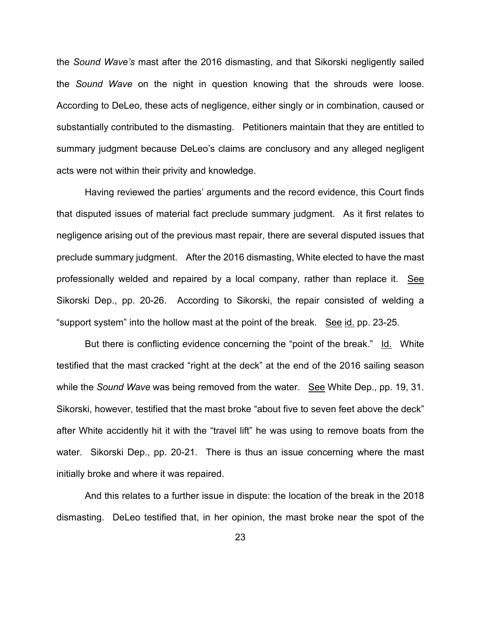the *Sound Wave's* mast after the 2016 dismasting, and that Sikorski negligently sailed the *Sound Wave* on the night in question knowing that the shrouds were loose. According to DeLeo, these acts of negligence, either singly or in combination, caused or substantially contributed to the dismasting. Petitioners maintain that they are entitled to summary judgment because DeLeo's claims are conclusory and any alleged negligent acts were not within their privity and knowledge.

Having reviewed the parties' arguments and the record evidence, this Court finds that disputed issues of material fact preclude summary judgment. As it first relates to negligence arising out of the previous mast repair, there are several disputed issues that preclude summary judgment. After the 2016 dismasting, White elected to have the mast professionally welded and repaired by a local company, rather than replace it. See Sikorski Dep., pp. 20-26. According to Sikorski, the repair consisted of welding a "support system" into the hollow mast at the point of the break. See id. pp. 23-25.

But there is conflicting evidence concerning the "point of the break." Id. White testified that the mast cracked "right at the deck" at the end of the 2016 sailing season while the *Sound Wave* was being removed from the water. <u>See</u> White Dep., pp. 19, 31. Sikorski, however, testified that the mast broke "about five to seven feet above the deck" after White accidently hit it with the "travel lift" he was using to remove boats from the water. Sikorski Dep., pp. 20-21. There is thus an issue concerning where the mast initially broke and where it was repaired.

And this relates to a further issue in dispute: the location of the break in the 2018 dismasting. DeLeo testified that, in her opinion, the mast broke near the spot of the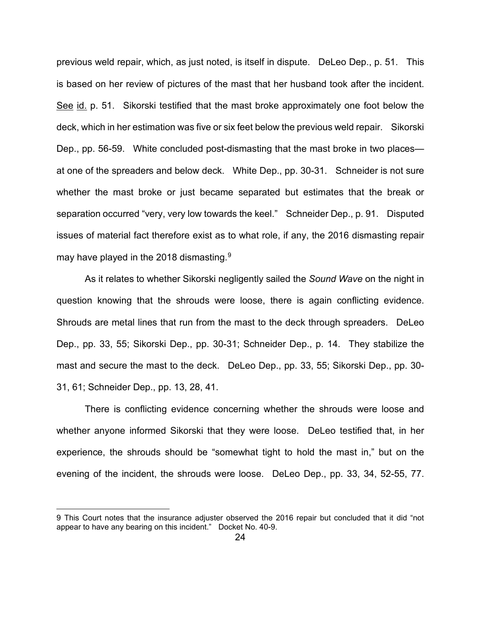previous weld repair, which, as just noted, is itself in dispute. DeLeo Dep., p. 51. This is based on her review of pictures of the mast that her husband took after the incident. See id. p. 51. Sikorski testified that the mast broke approximately one foot below the deck, which in her estimation was five or six feet below the previous weld repair. Sikorski Dep., pp. 56-59. White concluded post-dismasting that the mast broke in two places at one of the spreaders and below deck. White Dep., pp. 30-31. Schneider is not sure whether the mast broke or just became separated but estimates that the break or separation occurred "very, very low towards the keel." Schneider Dep., p. 91. Disputed issues of material fact therefore exist as to what role, if any, the 2016 dismasting repair may have played in the 2018 dismasting.<sup>[9](#page-23-0)</sup>

As it relates to whether Sikorski negligently sailed the *Sound Wave* on the night in question knowing that the shrouds were loose, there is again conflicting evidence. Shrouds are metal lines that run from the mast to the deck through spreaders. DeLeo Dep., pp. 33, 55; Sikorski Dep., pp. 30-31; Schneider Dep., p. 14. They stabilize the mast and secure the mast to the deck. DeLeo Dep., pp. 33, 55; Sikorski Dep., pp. 30- 31, 61; Schneider Dep., pp. 13, 28, 41.

There is conflicting evidence concerning whether the shrouds were loose and whether anyone informed Sikorski that they were loose. DeLeo testified that, in her experience, the shrouds should be "somewhat tight to hold the mast in," but on the evening of the incident, the shrouds were loose. DeLeo Dep., pp. 33, 34, 52-55, 77.

<span id="page-23-0"></span><sup>9</sup> This Court notes that the insurance adjuster observed the 2016 repair but concluded that it did "not appear to have any bearing on this incident." Docket No. 40-9.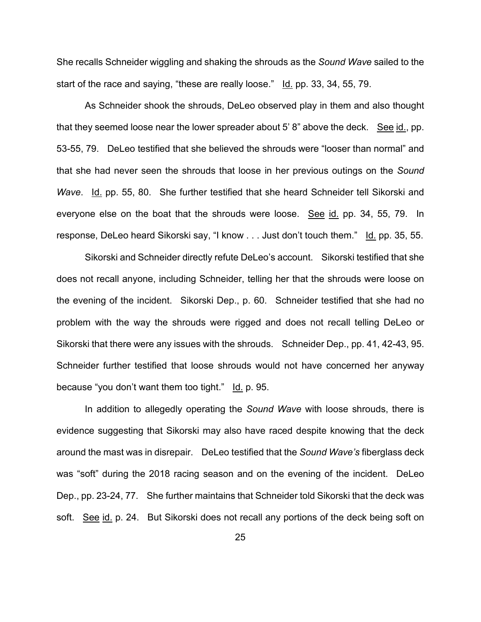She recalls Schneider wiggling and shaking the shrouds as the *Sound Wave* sailed to the start of the race and saying, "these are really loose." Id. pp. 33, 34, 55, 79.

As Schneider shook the shrouds, DeLeo observed play in them and also thought that they seemed loose near the lower spreader about 5' 8" above the deck. See id., pp. 53-55, 79. DeLeo testified that she believed the shrouds were "looser than normal" and that she had never seen the shrouds that loose in her previous outings on the *Sound Wave*. Id. pp. 55, 80. She further testified that she heard Schneider tell Sikorski and everyone else on the boat that the shrouds were loose. See id. pp. 34, 55, 79. In response, DeLeo heard Sikorski say, "I know . . . Just don't touch them." Id. pp. 35, 55.

Sikorski and Schneider directly refute DeLeo's account. Sikorski testified that she does not recall anyone, including Schneider, telling her that the shrouds were loose on the evening of the incident. Sikorski Dep., p. 60. Schneider testified that she had no problem with the way the shrouds were rigged and does not recall telling DeLeo or Sikorski that there were any issues with the shrouds. Schneider Dep., pp. 41, 42-43, 95. Schneider further testified that loose shrouds would not have concerned her anyway because "you don't want them too tight." Id. p. 95.

In addition to allegedly operating the *Sound Wave* with loose shrouds, there is evidence suggesting that Sikorski may also have raced despite knowing that the deck around the mast was in disrepair. DeLeo testified that the *Sound Wave's* fiberglass deck was "soft" during the 2018 racing season and on the evening of the incident. DeLeo Dep., pp. 23-24, 77. She further maintains that Schneider told Sikorski that the deck was soft. See id. p. 24. But Sikorski does not recall any portions of the deck being soft on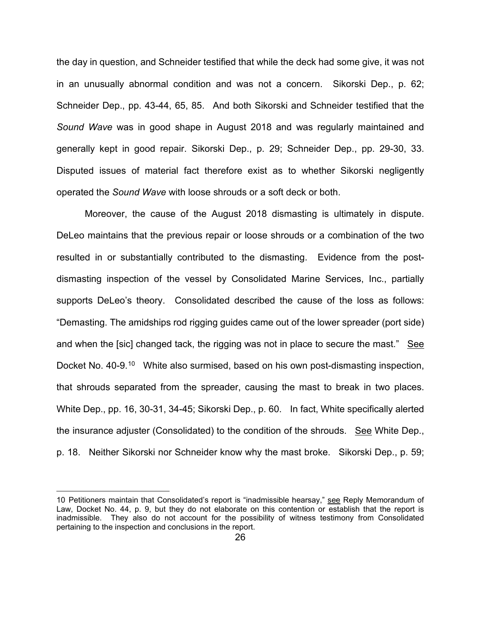the day in question, and Schneider testified that while the deck had some give, it was not in an unusually abnormal condition and was not a concern. Sikorski Dep., p. 62; Schneider Dep., pp. 43-44, 65, 85. And both Sikorski and Schneider testified that the *Sound Wave* was in good shape in August 2018 and was regularly maintained and generally kept in good repair. Sikorski Dep., p. 29; Schneider Dep., pp. 29-30, 33. Disputed issues of material fact therefore exist as to whether Sikorski negligently operated the *Sound Wave* with loose shrouds or a soft deck or both.

Moreover, the cause of the August 2018 dismasting is ultimately in dispute. DeLeo maintains that the previous repair or loose shrouds or a combination of the two resulted in or substantially contributed to the dismasting. Evidence from the postdismasting inspection of the vessel by Consolidated Marine Services, Inc., partially supports DeLeo's theory. Consolidated described the cause of the loss as follows: "Demasting. The amidships rod rigging guides came out of the lower spreader (port side) and when the [sic] changed tack, the rigging was not in place to secure the mast." See Docket No. 40-9.<sup>10</sup> White also surmised, based on his own post-dismasting inspection, that shrouds separated from the spreader, causing the mast to break in two places. White Dep., pp. 16, 30-31, 34-45; Sikorski Dep., p. 60. In fact, White specifically alerted the insurance adjuster (Consolidated) to the condition of the shrouds. See White Dep., p. 18. Neither Sikorski nor Schneider know why the mast broke. Sikorski Dep., p. 59;

<span id="page-25-0"></span><sup>10</sup> Petitioners maintain that Consolidated's report is "inadmissible hearsay," see Reply Memorandum of Law, Docket No. 44, p. 9, but they do not elaborate on this contention or establish that the report is inadmissible. They also do not account for the possibility of witness testimony from Consolidated pertaining to the inspection and conclusions in the report.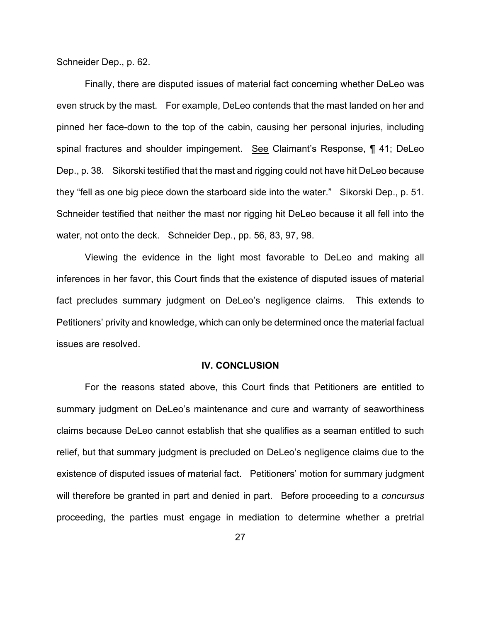Schneider Dep., p. 62.

Finally, there are disputed issues of material fact concerning whether DeLeo was even struck by the mast. For example, DeLeo contends that the mast landed on her and pinned her face-down to the top of the cabin, causing her personal injuries, including spinal fractures and shoulder impingement. See Claimant's Response, ¶ 41; DeLeo Dep., p. 38. Sikorski testified that the mast and rigging could not have hit DeLeo because they "fell as one big piece down the starboard side into the water." Sikorski Dep., p. 51. Schneider testified that neither the mast nor rigging hit DeLeo because it all fell into the water, not onto the deck. Schneider Dep., pp. 56, 83, 97, 98.

Viewing the evidence in the light most favorable to DeLeo and making all inferences in her favor, this Court finds that the existence of disputed issues of material fact precludes summary judgment on DeLeo's negligence claims. This extends to Petitioners' privity and knowledge, which can only be determined once the material factual issues are resolved.

#### **IV. CONCLUSION**

For the reasons stated above, this Court finds that Petitioners are entitled to summary judgment on DeLeo's maintenance and cure and warranty of seaworthiness claims because DeLeo cannot establish that she qualifies as a seaman entitled to such relief, but that summary judgment is precluded on DeLeo's negligence claims due to the existence of disputed issues of material fact. Petitioners' motion for summary judgment will therefore be granted in part and denied in part. Before proceeding to a *concursus* proceeding, the parties must engage in mediation to determine whether a pretrial